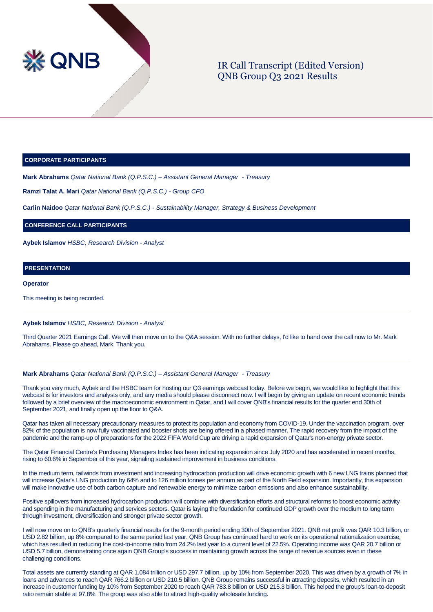

# IR Call Transcript (Edited Version) QNB Group Q3 2021 Results

#### **CORPORATE PARTICIPANTS**

**Mark Abrahams** *Qatar National Bank (Q.P.S.C.) – Assistant General Manager - Treasury*

**Ramzi Talat A. Mari** *Qatar National Bank (Q.P.S.C.) - Group CFO*

**Carlin Naidoo** *Qatar National Bank (Q.P.S.C.) - Sustainability Manager, Strategy & Business Development*

**CONFERENCE CALL PARTICIPANTS**

**Aybek Islamov** *HSBC, Research Division - Analyst*

# **PRESENTATION**

**Operator**

This meeting is being recorded.

#### **Aybek Islamov** *HSBC, Research Division - Analyst*

Third Quarter 2021 Earnings Call. We will then move on to the Q&A session. With no further delays, I'd like to hand over the call now to Mr. Mark Abrahams. Please go ahead, Mark. Thank you.

### **Mark Abrahams** *Qatar National Bank (Q.P.S.C.) – Assistant General Manager - Treasury*

Thank you very much, Aybek and the HSBC team for hosting our Q3 earnings webcast today. Before we begin, we would like to highlight that this webcast is for investors and analysts only, and any media should please disconnect now. I will begin by giving an update on recent economic trends followed by a brief overview of the macroeconomic environment in Qatar, and I will cover QNB's financial results for the quarter end 30th of September 2021, and finally open up the floor to Q&A.

Qatar has taken all necessary precautionary measures to protect its population and economy from COVID-19. Under the vaccination program, over 82% of the population is now fully vaccinated and booster shots are being offered in a phased manner. The rapid recovery from the impact of the pandemic and the ramp-up of preparations for the 2022 FIFA World Cup are driving a rapid expansion of Qatar's non-energy private sector.

The Qatar Financial Centre's Purchasing Managers Index has been indicating expansion since July 2020 and has accelerated in recent months, rising to 60.6% in September of this year, signaling sustained improvement in business conditions.

In the medium term, tailwinds from investment and increasing hydrocarbon production will drive economic growth with 6 new LNG trains planned that will increase Qatar's LNG production by 64% and to 126 million tonnes per annum as part of the North Field expansion. Importantly, this expansion will make innovative use of both carbon capture and renewable energy to minimize carbon emissions and also enhance sustainability.

Positive spillovers from increased hydrocarbon production will combine with diversification efforts and structural reforms to boost economic activity and spending in the manufacturing and services sectors. Qatar is laying the foundation for continued GDP growth over the medium to long term through investment, diversification and stronger private sector growth.

I will now move on to QNB's quarterly financial results for the 9-month period ending 30th of September 2021. QNB net profit was QAR 10.3 billion, or USD 2.82 billion, up 8% compared to the same period last year. QNB Group has continued hard to work on its operational rationalization exercise, which has resulted in reducing the cost-to-income ratio from 24.2% last year to a current level of 22.5%. Operating income was QAR 20.7 billion or USD 5.7 billion, demonstrating once again QNB Group's success in maintaining growth across the range of revenue sources even in these challenging conditions.

Total assets are currently standing at QAR 1.084 trillion or USD 297.7 billion, up by 10% from September 2020. This was driven by a growth of 7% in loans and advances to reach QAR 766.2 billion or USD 210.5 billion. QNB Group remains successful in attracting deposits, which resulted in an increase in customer funding by 10% from September 2020 to reach QAR 783.8 billion or USD 215.3 billion. This helped the group's loan-to-deposit ratio remain stable at 97.8%. The group was also able to attract high-quality wholesale funding.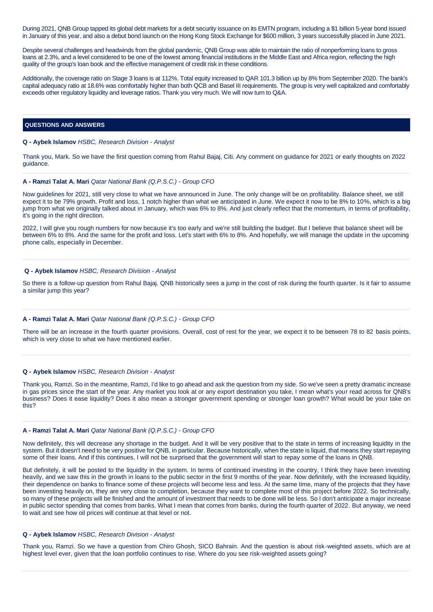During 2021, QNB Group tapped its global debt markets for a debt security issuance on its EMTN program, including a \$1 billion 5-year bond issued in January of this year, and also a debut bond launch on the Hong Kong Stock Exchange for \$600 million, 3 years successfully placed in June 2021.

Despite several challenges and headwinds from the global pandemic, QNB Group was able to maintain the ratio of nonperforming loans to gross loans at 2.3%, and a level considered to be one of the lowest among financial institutions in the Middle East and Africa region, reflecting the high quality of the group's loan book and the effective management of credit risk in these conditions.

Additionally, the coverage ratio on Stage 3 loans is at 112%. Total equity increased to QAR 101.3 billion up by 8% from September 2020. The bank's capital adequacy ratio at 18.6% was comfortably higher than both QCB and Basel III requirements. The group is very well capitalized and comfortably exceeds other regulatory liquidity and leverage ratios. Thank you very much. We will now turn to Q&A.

### **QUESTIONS AND ANSWERS**

#### **Q - Aybek Islamov** *HSBC, Research Division - Analyst*

Thank you, Mark. So we have the first question coming from Rahul Bajaj, Citi. Any comment on guidance for 2021 or early thoughts on 2022 guidance.

#### **A - Ramzi Talat A. Mari** *Qatar National Bank (Q.P.S.C.) - Group CFO*

Now guidelines for 2021, still very close to what we have announced in June. The only change will be on profitability. Balance sheet, we still expect it to be 79% growth. Profit and loss, 1 notch higher than what we anticipated in June. We expect it now to be 8% to 10%, which is a big jump from what we originally talked about in January, which was 6% to 8%. And just clearly reflect that the momentum, in terms of profitability, it's going in the right direction.

2022, I will give you rough numbers for now because it's too early and we're still building the budget. But I believe that balance sheet will be between 6% to 8%. And the same for the profit and loss. Let's start with 6% to 8%. And hopefully, we will manage the update in the upcoming phone calls, especially in December.

#### **Q - Aybek Islamov** *HSBC, Research Division - Analyst*

So there is a follow-up question from Rahul Bajaj. QNB historically sees a jump in the cost of risk during the fourth quarter. Is it fair to assume a similar jump this year?

#### **A - Ramzi Talat A. Mari** *Qatar National Bank (Q.P.S.C.) - Group CFO*

There will be an increase in the fourth quarter provisions. Overall, cost of rest for the year, we expect it to be between 78 to 82 basis points, which is very close to what we have mentioned earlier.

#### **Q - Aybek Islamov** *HSBC, Research Division - Analyst*

Thank you, Ramzi. So in the meantime, Ramzi, I'd like to go ahead and ask the question from my side. So we've seen a pretty dramatic increase in gas prices since the start of the year. Any market you look at or any export destination you take, I mean what's your read across for QNB's business? Does it ease liquidity? Does it also mean a stronger government spending or stronger loan growth? What would be your take on this?

#### **A - Ramzi Talat A. Mari** *Qatar National Bank (Q.P.S.C.) - Group CFO*

Now definitely, this will decrease any shortage in the budget. And it will be very positive that to the state in terms of increasing liquidity in the system. But it doesn't need to be very positive for QNB, in particular. Because historically, when the state is liquid, that means they start repaying some of their loans. And if this continues, I will not be surprised that the government will start to repay some of the loans in QNB.

But definitely, it will be posted to the liquidity in the system. In terms of continued investing in the country, I think they have been investing heavily, and we saw this in the growth in loans to the public sector in the first 9 months of the year. Now definitely, with the increased liquidity, their dependence on banks to finance some of these projects will become less and less. At the same time, many of the projects that they have been investing heavily on, they are very close to completion, because they want to complete most of this project before 2022. So technically, so many of these projects will be finished and the amount of investment that needs to be done will be less. So I don't anticipate a major increase in public sector spending that comes from banks. What I mean that comes from banks, during the fourth quarter of 2022. But anyway, we need to wait and see how oil prices will continue at that level or not.

#### **Q - Aybek Islamov** *HSBC, Research Division - Analyst*

Thank you, Ramzi. So we have a question from Chiro Ghosh, SICO Bahrain. And the question is about risk-weighted assets, which are at highest level ever, given that the loan portfolio continues to rise. Where do you see risk-weighted assets going?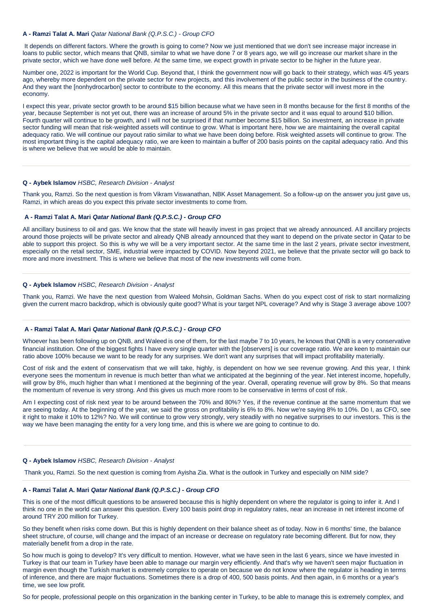#### **A - Ramzi Talat A. Mari** *Qatar National Bank (Q.P.S.C.) - Group CFO*

It depends on different factors. Where the growth is going to come? Now we just mentioned that we don't see increase major increase in loans to public sector, which means that QNB, similar to what we have done 7 or 8 years ago, we will go increase our market share in the private sector, which we have done well before. At the same time, we expect growth in private sector to be higher in the future year.

Number one, 2022 is important for the World Cup. Beyond that, I think the government now will go back to their strategy, which was 4/5 years ago, whereby more dependent on the private sector for new projects, and this involvement of the public sector in the business of the country. And they want the [nonhydrocarbon] sector to contribute to the economy. All this means that the private sector will invest more in the economy.

I expect this year, private sector growth to be around \$15 billion because what we have seen in 8 months because for the first 8 months of the year, because September is not yet out, there was an increase of around 5% in the private sector and it was equal to around \$10 billion. Fourth quarter will continue to be growth, and I will not be surprised if that number become \$15 billion. So investment, an increase in private sector funding will mean that risk-weighted assets will continue to grow. What is important here, how we are maintaining the overall capital adequacy ratio. We will continue our payout ratio similar to what we have been doing before. Risk weighted assets will continue to grow. The most important thing is the capital adequacy ratio, we are keen to maintain a buffer of 200 basis points on the capital adequacy ratio. And this is where we believe that we would be able to maintain.

#### **Q - Aybek Islamov** *HSBC, Research Division - Analyst*

Thank you, Ramzi. So the next question is from Vikram Viswanathan, NBK Asset Management. So a follow-up on the answer you just gave us, Ramzi, in which areas do you expect this private sector investments to come from.

### **A - Ramzi Talat A. Mari** *Qatar National Bank (Q.P.S.C.) - Group CFO*

All ancillary business to oil and gas. We know that the state will heavily invest in gas project that we already announced. All ancillary projects around those projects will be private sector and already QNB already announced that they want to depend on the private sector in Qatar to be able to support this project. So this is why we will be a very important sector. At the same time in the last 2 years, private sector investment, especially on the retail sector, SME, industrial were impacted by COVID. Now beyond 2021, we believe that the private sector will go back to more and more investment. This is where we believe that most of the new investments will come from.

### **Q - Aybek Islamov** *HSBC, Research Division - Analyst*

Thank you, Ramzi. We have the next question from Waleed Mohsin, Goldman Sachs. When do you expect cost of risk to start normalizing given the current macro backdrop, which is obviously quite good? What is your target NPL coverage? And why is Stage 3 average above 100?

# **A - Ramzi Talat A. Mari** *Qatar National Bank (Q.P.S.C.) - Group CFO*

Whoever has been following up on QNB, and Waleed is one of them, for the last maybe 7 to 10 years, he knows that QNB is a very conservative financial institution. One of the biggest fights I have every single quarter with the [observers] is our coverage ratio. We are keen to maintain our ratio above 100% because we want to be ready for any surprises. We don't want any surprises that will impact profitability materially.

Cost of risk and the extent of conservatism that we will take, highly, is dependent on how we see revenue growing. And this year, I think everyone sees the momentum in revenue is much better than what we anticipated at the beginning of the year. Net interest income, hopefully, will grow by 8%, much higher than what I mentioned at the beginning of the year. Overall, operating revenue will grow by 8%. So that means the momentum of revenue is very strong. And this gives us much more room to be conservative in terms of cost of risk.

Am I expecting cost of risk next year to be around between the 70% and 80%? Yes, if the revenue continue at the same momentum that we are seeing today. At the beginning of the year, we said the gross on profitability is 6% to 8%. Now we're saying 8% to 10%. Do I, as CFO, see it right to make it 10% to 12%? No. We will continue to grow very strongly, very steadily with no negative surprises to our investors. This is the way we have been managing the entity for a very long time, and this is where we are going to continue to do.

#### **Q - Aybek Islamov** *HSBC, Research Division - Analyst*

Thank you, Ramzi. So the next question is coming from Ayisha Zia. What is the outlook in Turkey and especially on NIM side?

### **A - Ramzi Talat A. Mari** *Qatar National Bank (Q.P.S.C.) - Group CFO*

This is one of the most difficult questions to be answered because this is highly dependent on where the regulator is going to infer it. And I think no one in the world can answer this question. Every 100 basis point drop in regulatory rates, near an increase in net interest income of around TRY 200 million for Turkey.

So they benefit when risks come down. But this is highly dependent on their balance sheet as of today. Now in 6 months' time, the balance sheet structure, of course, will change and the impact of an increase or decrease on regulatory rate becoming different. But for now, they materially benefit from a drop in the rate.

So how much is going to develop? It's very difficult to mention. However, what we have seen in the last 6 years, since we have invested in Turkey is that our team in Turkey have been able to manage our margin very efficiently. And that's why we haven't seen major fluctuation in margin even though the Turkish market is extremely complex to operate on because we do not know where the regulator is heading in terms of inference, and there are major fluctuations. Sometimes there is a drop of 400, 500 basis points. And then again, in 6 months or a year's time, we see low profit.

So for people, professional people on this organization in the banking center in Turkey, to be able to manage this is extremely complex, and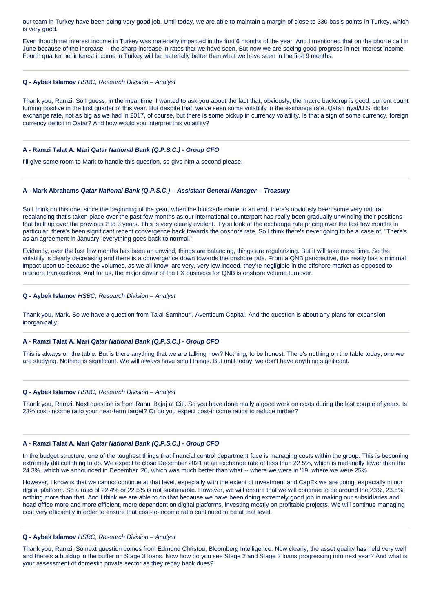our team in Turkey have been doing very good job. Until today, we are able to maintain a margin of close to 330 basis points in Turkey, which is very good.

Even though net interest income in Turkey was materially impacted in the first 6 months of the year. And I mentioned that on the phone call in June because of the increase -- the sharp increase in rates that we have seen. But now we are seeing good progress in net interest income. Fourth quarter net interest income in Turkey will be materially better than what we have seen in the first 9 months.

### **Q - Aybek Islamov** *HSBC, Research Division – Analyst*

Thank you, Ramzi. So I guess, in the meantime, I wanted to ask you about the fact that, obviously, the macro backdrop is good, current count turning positive in the first quarter of this year. But despite that, we've seen some volatility in the exchange rate, Qatari riyal/U.S. dollar exchange rate, not as big as we had in 2017, of course, but there is some pickup in currency volatility. Is that a sign of some currency, foreign currency deficit in Qatar? And how would you interpret this volatility?

# **A - Ramzi Talat A. Mari** *Qatar National Bank (Q.P.S.C.) - Group CFO*

I'll give some room to Mark to handle this question, so give him a second please.

## **A - Mark Abrahams** *Qatar National Bank (Q.P.S.C.) – Assistant General Manager - Treasury*

So I think on this one, since the beginning of the year, when the blockade came to an end, there's obviously been some very natural rebalancing that's taken place over the past few months as our international counterpart has really been gradually unwinding their positions that built up over the previous 2 to 3 years. This is very clearly evident. If you look at the exchange rate pricing over the last few months in particular, there's been significant recent convergence back towards the onshore rate. So I think there's never going to be a case of, "There's as an agreement in January, everything goes back to normal."

Evidently, over the last few months has been an unwind, things are balancing, things are regularizing. But it will take more time. So the volatility is clearly decreasing and there is a convergence down towards the onshore rate. From a QNB perspective, this really has a minimal impact upon us because the volumes, as we all know, are very, very low indeed, they're negligible in the offshore market as opposed to onshore transactions. And for us, the major driver of the FX business for QNB is onshore volume turnover.

#### **Q - Aybek Islamov** *HSBC, Research Division – Analyst*

Thank you, Mark. So we have a question from Talal Samhouri, Aventicum Capital. And the question is about any plans for expansion inorganically.

#### **A - Ramzi Talat A. Mari** *Qatar National Bank (Q.P.S.C.) - Group CFO*

This is always on the table. But is there anything that we are talking now? Nothing, to be honest. There's nothing on the table today, one we are studying. Nothing is significant. We will always have small things. But until today, we don't have anything significant.

### **Q - Aybek Islamov** *HSBC, Research Division – Analyst*

Thank you, Ramzi. Next question is from Rahul Bajaj at Citi. So you have done really a good work on costs during the last couple of years. Is 23% cost-income ratio your near-term target? Or do you expect cost-income ratios to reduce further?

#### **A - Ramzi Talat A. Mari** *Qatar National Bank (Q.P.S.C.) - Group CFO*

In the budget structure, one of the toughest things that financial control department face is managing costs within the group. This is becoming extremely difficult thing to do. We expect to close December 2021 at an exchange rate of less than 22.5%, which is materially lower than the 24.3%, which we announced in December '20, which was much better than what -- where we were in '19, where we were 25%.

However, I know is that we cannot continue at that level, especially with the extent of investment and CapEx we are doing, especially in our digital platform. So a ratio of 22.4% or 22.5% is not sustainable. However, we will ensure that we will continue to be around the 23%, 23.5%, nothing more than that. And I think we are able to do that because we have been doing extremely good job in making our subsidiaries and head office more and more efficient, more dependent on digital platforms, investing mostly on profitable projects. We will continue managing cost very efficiently in order to ensure that cost-to-income ratio continued to be at that level.

### **Q - Aybek Islamov** *HSBC, Research Division – Analyst*

Thank you, Ramzi. So next question comes from Edmond Christou, Bloomberg Intelligence. Now clearly, the asset quality has held very well and there's a buildup in the buffer on Stage 3 loans. Now how do you see Stage 2 and Stage 3 loans progressing into next year? And what is your assessment of domestic private sector as they repay back dues?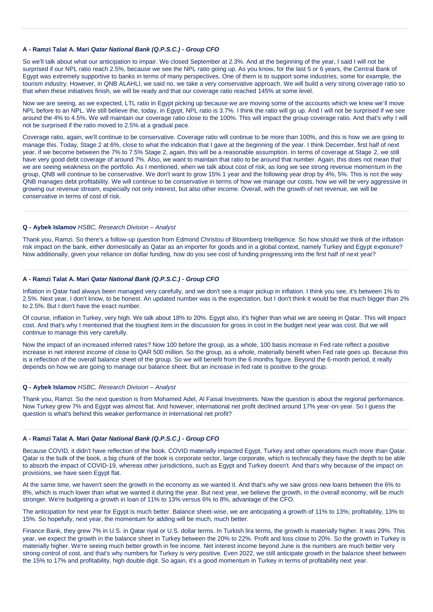### **A - Ramzi Talat A. Mari** *Qatar National Bank (Q.P.S.C.) - Group CFO*

So we'll talk about what our anticipation to impair. We closed September at 2.3%. And at the beginning of the year, I said I will not be surprised if our NPL ratio reach 2.5%, because we see the NPL ratio going up. As you know, for the last 5 or 6 years, the Central Bank of Egypt was extremely supportive to banks in terms of many perspectives. One of them is to support some industries, some for example, the tourism industry. However, in QNB ALAHLI, we said no, we take a very conservative approach. We will build a very strong coverage ratio so that when these initiatives finish, we will be ready and that our coverage ratio reached 145% at some level.

Now we are seeing, as we expected, LTL ratio in Egypt picking up because we are moving some of the accounts which we knew we'll move NPL before to an NPL. We still believe the, today, in Egypt, NPL ratio is 3.7%. I think the ratio will go up. And I will not be surprised if we see around the 4% to 4.5%. We will maintain our coverage ratio close to the 100%. This will impact the group coverage ratio. And that's why I will not be surprised if the ratio moved to 2.5% at a gradual pace.

Coverage ratio, again, we'll continue to be conservative. Coverage ratio will continue to be more than 100%, and this is how we are going to manage this. Today, Stage 2 at 6%, close to what the indication that I gave at the beginning of the year. I think December, first half of next year, if we become between the 7% to 7.5% Stage 2, again, this will be a reasonable assumption. In terms of coverage at Stage 2, we still have very good debt coverage of around 7%. Also, we want to maintain that ratio to be around that number. Again, this does not mean that we are seeing weakness on the portfolio. As I mentioned, when we talk about cost of risk, as long we see strong revenue momentum in the group, QNB will continue to be conservative. We don't want to grow 15% 1 year and the following year drop by 4%, 5%. This is not the way QNB manages debt profitability. We will continue to be conservative in terms of how we manage our costs, how we will be very aggressive in growing our revenue stream, especially not only interest, but also other income. Overall, with the growth of net revenue, we will be conservative in terms of cost of risk.

# **Q - Aybek Islamov** *HSBC, Research Division – Analyst*

Thank you, Ramzi. So there's a follow-up question from Edmond Christou of Bloomberg Intelligence. So how should we think of the inflation risk impact on the bank, either domestically as Qatar as an importer for goods and in a global context, namely Turkey and Egypt exposure? Now additionally, given your reliance on dollar funding, how do you see cost of funding progressing into the first half of next year?

### **A - Ramzi Talat A. Mari** *Qatar National Bank (Q.P.S.C.) - Group CFO*

Inflation in Qatar had always been managed very carefully, and we don't see a major pickup in inflation. I think you see, it's between 1% to 2.5%. Next year, I don't know, to be honest. An updated number was is the expectation, but I don't think it would be that much bigger than 2% to 2.5%. But I don't have the exact number.

Of course, inflation in Turkey, very high. We talk about 18% to 20%. Egypt also, it's higher than what we are seeing in Qatar. This will impact cost. And that's why I mentioned that the toughest item in the discussion for gross in cost in the budget next year was cost. But we will continue to manage this very carefully.

Now the impact of an increased inferred rates? Now 100 before the group, as a whole, 100 basis increase in Fed rate reflect a positive increase in net interest income of close to QAR 500 million. So the group, as a whole, materially benefit when Fed rate goes up. Because this is a reflection of the overall balance sheet of the group. So we will benefit from the 6 months figure. Beyond the 6-month period, it really depends on how we are going to manage our balance sheet. But an increase in fed rate is positive to the group.

### **Q - Aybek Islamov** *HSBC, Research Division – Analyst*

Thank you, Ramzi. So the next question is from Mohamed Adel, Al Faisal Investments. Now the question is about the regional performance. Now Turkey grew 7% and Egypt was almost flat. And however, international net profit declined around 17% year-on-year. So I guess the question is what's behind this weaker performance in international net profit?

### **A - Ramzi Talat A. Mari** *Qatar National Bank (Q.P.S.C.) - Group CFO*

Because COVID, it didn't have reflection of the book. COVID materially impacted Egypt, Turkey and other operations much more than Qatar. Qatar is the bulk of the book, a big chunk of the book is corporate sector, large corporate, which is technically they have the depth to be able to absorb the impact of COVID-19, whereas other jurisdictions, such as Egypt and Turkey doesn't. And that's why because of the impact on provisions, we have seen Egypt flat.

At the same time, we haven't seen the growth in the economy as we wanted it. And that's why we saw gross new loans between the 6% to 8%, which is much lower than what we wanted it during the year. But next year, we believe the growth, in the overall economy, will be much stronger. We're budgeting a growth in loan of 11% to 13% versus 6% to 8%, advantage of the CFO.

The anticipation for next year for Egypt is much better. Balance sheet-wise, we are anticipating a growth of 11% to 13%; profitability, 13% to 15%. So hopefully, next year, the momentum for adding will be much, much better.

Finance Bank, they grew 7% in U.S. in Qatar riyal or U.S. dollar terms. In Turkish lira terms, the growth is materially higher. It was 29%. This year, we expect the growth in the balance sheet in Turkey between the 20% to 22%. Profit and loss close to 20%. So the growth in Turkey is materially higher. We're seeing much better growth in fee income. Net interest income beyond June is the numbers are much better very strong control of cost, and that's why numbers for Turkey is very positive. Even 2022, we still anticipate growth in the balance sheet between the 15% to 17% and profitability, high double digit. So again, it's a good momentum in Turkey in terms of profitability next year.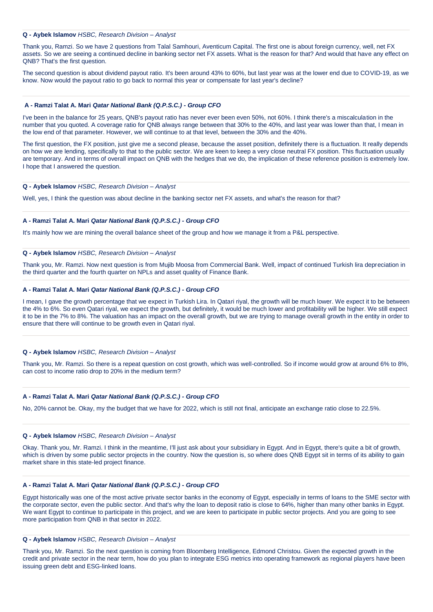### **Q - Aybek Islamov** *HSBC, Research Division – Analyst*

Thank you, Ramzi. So we have 2 questions from Talal Samhouri, Aventicum Capital. The first one is about foreign currency, well, net FX assets. So we are seeing a continued decline in banking sector net FX assets. What is the reason for that? And would that have any effect on QNB? That's the first question.

The second question is about dividend payout ratio. It's been around 43% to 60%, but last year was at the lower end due to COVID-19, as we know. Now would the payout ratio to go back to normal this year or compensate for last year's decline?

#### **A - Ramzi Talat A. Mari** *Qatar National Bank (Q.P.S.C.) - Group CFO*

I've been in the balance for 25 years, QNB's payout ratio has never ever been even 50%, not 60%. I think there's a miscalculation in the number that you quoted. A coverage ratio for QNB always range between that 30% to the 40%, and last year was lower than that, I mean in the low end of that parameter. However, we will continue to at that level, between the 30% and the 40%.

The first question, the FX position, just give me a second please, because the asset position, definitely there is a fluctuation. It really depends on how we are lending, specifically to that to the public sector. We are keen to keep a very close neutral FX position. This fluctuation usually are temporary. And in terms of overall impact on QNB with the hedges that we do, the implication of these reference position is extremely low. I hope that I answered the question.

### **Q - Aybek Islamov** *HSBC, Research Division – Analyst*

Well, yes, I think the question was about decline in the banking sector net FX assets, and what's the reason for that?

### **A - Ramzi Talat A. Mari** *Qatar National Bank (Q.P.S.C.) - Group CFO*

It's mainly how we are mining the overall balance sheet of the group and how we manage it from a P&L perspective.

#### **Q - Aybek Islamov** *HSBC, Research Division – Analyst*

Thank you, Mr. Ramzi. Now next question is from Mujib Moosa from Commercial Bank. Well, impact of continued Turkish lira depreciation in the third quarter and the fourth quarter on NPLs and asset quality of Finance Bank.

### **A - Ramzi Talat A. Mari** *Qatar National Bank (Q.P.S.C.) - Group CFO*

I mean, I gave the growth percentage that we expect in Turkish Lira. In Qatari riyal, the growth will be much lower. We expect it to be between the 4% to 6%. So even Qatari riyal, we expect the growth, but definitely, it would be much lower and profitability will be higher. We still expect it to be in the 7% to 8%. The valuation has an impact on the overall growth, but we are trying to manage overall growth in the entity in order to ensure that there will continue to be growth even in Qatari riyal.

#### **Q - Aybek Islamov** *HSBC, Research Division – Analyst*

Thank you, Mr. Ramzi. So there is a repeat question on cost growth, which was well-controlled. So if income would grow at around 6% to 8%, can cost to income ratio drop to 20% in the medium term?

#### **A - Ramzi Talat A. Mari** *Qatar National Bank (Q.P.S.C.) - Group CFO*

No, 20% cannot be. Okay, my the budget that we have for 2022, which is still not final, anticipate an exchange ratio close to 22.5%.

#### **Q - Aybek Islamov** *HSBC, Research Division – Analyst*

Okay. Thank you, Mr. Ramzi. I think in the meantime, I'll just ask about your subsidiary in Egypt. And in Egypt, there's quite a bit of growth, which is driven by some public sector projects in the country. Now the question is, so where does QNB Egypt sit in terms of its ability to gain market share in this state-led project finance.

#### **A - Ramzi Talat A. Mari** *Qatar National Bank (Q.P.S.C.) - Group CFO*

Egypt historically was one of the most active private sector banks in the economy of Egypt, especially in terms of loans to the SME sector with the corporate sector, even the public sector. And that's why the loan to deposit ratio is close to 64%, higher than many other banks in Egypt. We want Egypt to continue to participate in this project, and we are keen to participate in public sector projects. And you are going to see more participation from QNB in that sector in 2022.

#### **Q - Aybek Islamov** *HSBC, Research Division – Analyst*

Thank you, Mr. Ramzi. So the next question is coming from Bloomberg Intelligence, Edmond Christou. Given the expected growth in the credit and private sector in the near term, how do you plan to integrate ESG metrics into operating framework as regional players have been issuing green debt and ESG-linked loans.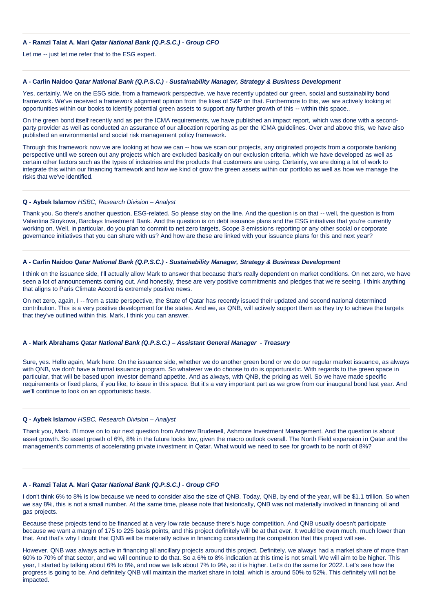### **A - Ramzi Talat A. Mari** *Qatar National Bank (Q.P.S.C.) - Group CFO*

Let me -- just let me refer that to the ESG expert.

### **A - Carlin Naidoo** *Qatar National Bank (Q.P.S.C.) - Sustainability Manager, Strategy & Business Development*

Yes, certainly. We on the ESG side, from a framework perspective, we have recently updated our green, social and sustainability bond framework. We've received a framework alignment opinion from the likes of S&P on that. Furthermore to this, we are actively looking at opportunities within our books to identify potential green assets to support any further growth of this -- within this space..

On the green bond itself recently and as per the ICMA requirements, we have published an impact report, which was done with a secondparty provider as well as conducted an assurance of our allocation reporting as per the ICMA guidelines. Over and above this, we have also published an environmental and social risk management policy framework.

Through this framework now we are looking at how we can -- how we scan our projects, any originated projects from a corporate banking perspective until we screen out any projects which are excluded basically on our exclusion criteria, which we have developed as well as certain other factors such as the types of industries and the products that customers are using. Certainly, we are doing a lot of work to integrate this within our financing framework and how we kind of grow the green assets within our portfolio as well as how we manage the risks that we've identified.

#### **Q - Aybek Islamov** *HSBC, Research Division – Analyst*

Thank you. So there's another question, ESG-related. So please stay on the line. And the question is on that -- well, the question is from Valentina Stoykova, Barclays Investment Bank. And the question is on debt issuance plans and the ESG initiatives that you're currently working on. Well, in particular, do you plan to commit to net zero targets, Scope 3 emissions reporting or any other social or corporate governance initiatives that you can share with us? And how are these are linked with your issuance plans for this and next year?

# **A - Carlin Naidoo** *Qatar National Bank (Q.P.S.C.) - Sustainability Manager, Strategy & Business Development*

I think on the issuance side, I'll actually allow Mark to answer that because that's really dependent on market conditions. On net zero, we have seen a lot of announcements coming out. And honestly, these are very positive commitments and pledges that we're seeing. I think anything that aligns to Paris Climate Accord is extremely positive news.

On net zero, again, I -- from a state perspective, the State of Qatar has recently issued their updated and second national determined contribution. This is a very positive development for the states. And we, as QNB, will actively support them as they try to achieve the targets that they've outlined within this. Mark, I think you can answer.

### **A - Mark Abrahams** *Qatar National Bank (Q.P.S.C.) – Assistant General Manager - Treasury*

Sure, yes. Hello again, Mark here. On the issuance side, whether we do another green bond or we do our regular market issuance, as always with QNB, we don't have a formal issuance program. So whatever we do choose to do is opportunistic. With regards to the green space in particular, that will be based upon investor demand appetite. And as always, with QNB, the pricing as well. So we have made specific requirements or fixed plans, if you like, to issue in this space. But it's a very important part as we grow from our inaugural bond last year. And we'll continue to look on an opportunistic basis.

#### **Q - Aybek Islamov** *HSBC, Research Division – Analyst*

Thank you, Mark. I'll move on to our next question from Andrew Brudenell, Ashmore Investment Management. And the question is about asset growth. So asset growth of 6%, 8% in the future looks low, given the macro outlook overall. The North Field expansion in Qatar and the management's comments of accelerating private investment in Qatar. What would we need to see for growth to be north of 8%?

### **A - Ramzi Talat A. Mari** *Qatar National Bank (Q.P.S.C.) - Group CFO*

I don't think 6% to 8% is low because we need to consider also the size of QNB. Today, QNB, by end of the year, will be \$1.1 trillion. So when we say 8%, this is not a small number. At the same time, please note that historically, QNB was not materially involved in financing oil and gas projects.

Because these projects tend to be financed at a very low rate because there's huge competition. And QNB usually doesn't participate because we want a margin of 175 to 225 basis points, and this project definitely will be at that ever. It would be even much, much lower than that. And that's why I doubt that QNB will be materially active in financing considering the competition that this project will see.

However, QNB was always active in financing all ancillary projects around this project. Definitely, we always had a market share of more than 60% to 70% of that sector, and we will continue to do that. So a 6% to 8% indication at this time is not small. We will aim to be higher. This year, I started by talking about 6% to 8%, and now we talk about 7% to 9%, so it is higher. Let's do the same for 2022. Let's see how the progress is going to be. And definitely QNB will maintain the market share in total, which is around 50% to 52%. This definitely will not be impacted.